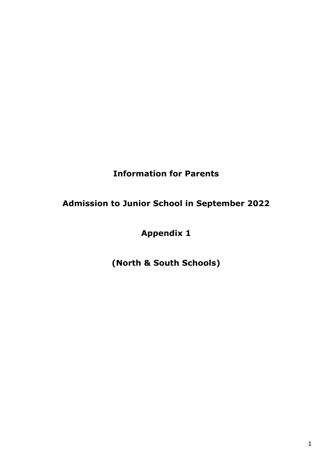# **Information for Parents**

# **Admission to Junior School in September 2022**

# **Appendix 1**

# **(North & South Schools)**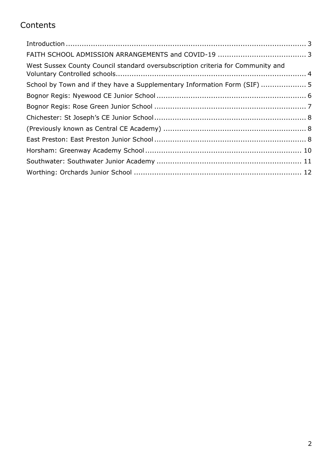# **Contents**

| West Sussex County Council standard oversubscription criteria for Community and |  |
|---------------------------------------------------------------------------------|--|
| School by Town and if they have a Supplementary Information Form (SIF)  5       |  |
|                                                                                 |  |
|                                                                                 |  |
|                                                                                 |  |
|                                                                                 |  |
|                                                                                 |  |
|                                                                                 |  |
|                                                                                 |  |
|                                                                                 |  |
|                                                                                 |  |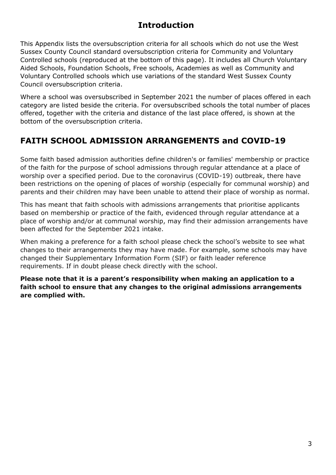### **Introduction**

<span id="page-2-0"></span>This Appendix lists the oversubscription criteria for all schools which do not use the West Sussex County Council standard oversubscription criteria for Community and Voluntary Controlled schools (reproduced at the bottom of this page). It includes all Church Voluntary Aided Schools, Foundation Schools, Free schools, Academies as well as Community and Voluntary Controlled schools which use variations of the standard West Sussex County Council oversubscription criteria.

Where a school was oversubscribed in September 2021 the number of places offered in each category are listed beside the criteria. For oversubscribed schools the total number of places offered, together with the criteria and distance of the last place offered, is shown at the bottom of the oversubscription criteria.

### <span id="page-2-1"></span>**FAITH SCHOOL ADMISSION ARRANGEMENTS and COVID-19**

Some faith based admission authorities define children's or families' membership or practice of the faith for the purpose of school admissions through regular attendance at a place of worship over a specified period. Due to the coronavirus (COVID-19) outbreak, there have been restrictions on the opening of places of worship (especially for communal worship) and parents and their children may have been unable to attend their place of worship as normal.

This has meant that faith schools with admissions arrangements that prioritise applicants based on membership or practice of the faith, evidenced through regular attendance at a place of worship and/or at communal worship, may find their admission arrangements have been affected for the September 2021 intake.

When making a preference for a faith school please check the school's website to see what changes to their arrangements they may have made. For example, some schools may have changed their Supplementary Information Form (SIF) or faith leader reference requirements. If in doubt please check directly with the school.

**Please note that it is a parent's responsibility when making an application to a faith school to ensure that any changes to the original admissions arrangements are complied with.**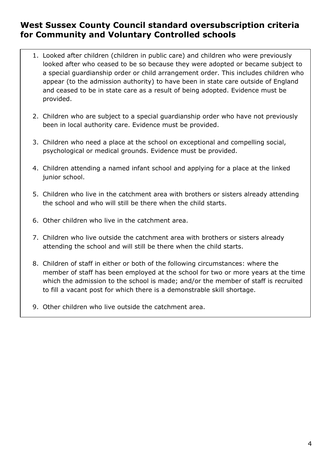#### **West Sussex County Council standard oversubscription criteria for Community and Voluntary Controlled schools**

- <span id="page-3-0"></span>1. Looked after children (children in public care) and children who were previously looked after who ceased to be so because they were adopted or became subject to a special guardianship order or child arrangement order. This includes children who appear (to the admission authority) to have been in state care outside of England and ceased to be in state care as a result of being adopted. Evidence must be provided.
- 2. Children who are subject to a special guardianship order who have not previously been in local authority care. Evidence must be provided.
- 3. Children who need a place at the school on exceptional and compelling social, psychological or medical grounds. Evidence must be provided.
- 4. Children attending a named infant school and applying for a place at the linked junior school.
- 5. Children who live in the catchment area with brothers or sisters already attending the school and who will still be there when the child starts.
- 6. Other children who live in the catchment area.
- 7. Children who live outside the catchment area with brothers or sisters already attending the school and will still be there when the child starts.
- 8. Children of staff in either or both of the following circumstances: where the member of staff has been employed at the school for two or more years at the time which the admission to the school is made; and/or the member of staff is recruited to fill a vacant post for which there is a demonstrable skill shortage.
- 9. Other children who live outside the catchment area.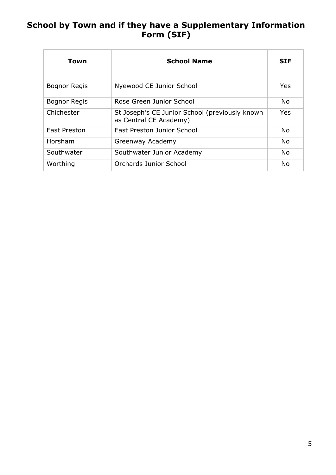### <span id="page-4-0"></span>**School by Town and if they have a Supplementary Information Form (SIF)**

<span id="page-4-1"></span>

| Town                | <b>School Name</b>                                                       | <b>SIF</b> |
|---------------------|--------------------------------------------------------------------------|------------|
| Bognor Regis        | Nyewood CE Junior School                                                 | Yes        |
| <b>Bognor Regis</b> | Rose Green Junior School                                                 | <b>No</b>  |
| Chichester          | St Joseph's CE Junior School (previously known<br>as Central CE Academy) | <b>Yes</b> |
| East Preston        | East Preston Junior School                                               | <b>No</b>  |
| Horsham             | Greenway Academy                                                         | <b>No</b>  |
| Southwater          | Southwater Junior Academy                                                | No.        |
| Worthing            | Orchards Junior School                                                   | No         |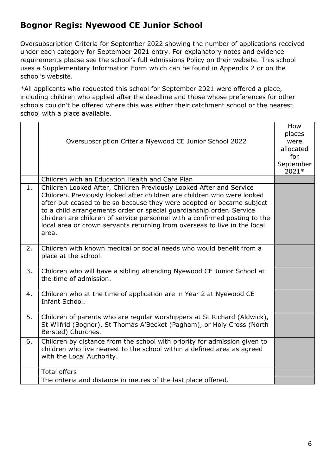### **Bognor Regis: Nyewood CE Junior School**

Oversubscription Criteria for September 2022 showing the number of applications received under each category for September 2021 entry. For explanatory notes and evidence requirements please see the school's full Admissions Policy on their website. This school uses a Supplementary Information Form which can be found in Appendix 2 or on the school's website.

|    | Oversubscription Criteria Nyewood CE Junior School 2022                                                                                                                                                                                                                                                                                                                                                                                                             | How<br>places<br>were<br>allocated<br>for<br>September<br>2021* |
|----|---------------------------------------------------------------------------------------------------------------------------------------------------------------------------------------------------------------------------------------------------------------------------------------------------------------------------------------------------------------------------------------------------------------------------------------------------------------------|-----------------------------------------------------------------|
|    | Children with an Education Health and Care Plan                                                                                                                                                                                                                                                                                                                                                                                                                     |                                                                 |
| 1. | Children Looked After, Children Previously Looked After and Service<br>Children. Previously looked after children are children who were looked<br>after but ceased to be so because they were adopted or became subject<br>to a child arrangements order or special guardianship order. Service<br>children are children of service personnel with a confirmed posting to the<br>local area or crown servants returning from overseas to live in the local<br>area. |                                                                 |
| 2. | Children with known medical or social needs who would benefit from a<br>place at the school.                                                                                                                                                                                                                                                                                                                                                                        |                                                                 |
| 3. | Children who will have a sibling attending Nyewood CE Junior School at<br>the time of admission.                                                                                                                                                                                                                                                                                                                                                                    |                                                                 |
| 4. | Children who at the time of application are in Year 2 at Nyewood CE<br>Infant School.                                                                                                                                                                                                                                                                                                                                                                               |                                                                 |
| 5. | Children of parents who are regular worshippers at St Richard (Aldwick),<br>St Wilfrid (Bognor), St Thomas A'Becket (Pagham), or Holy Cross (North<br>Bersted) Churches.                                                                                                                                                                                                                                                                                            |                                                                 |
| 6. | Children by distance from the school with priority for admission given to<br>children who live nearest to the school within a defined area as agreed<br>with the Local Authority.                                                                                                                                                                                                                                                                                   |                                                                 |
|    | <b>Total offers</b>                                                                                                                                                                                                                                                                                                                                                                                                                                                 |                                                                 |
|    | The criteria and distance in metres of the last place offered.                                                                                                                                                                                                                                                                                                                                                                                                      |                                                                 |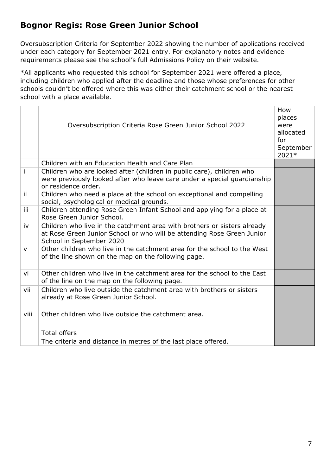## <span id="page-6-0"></span>**Bognor Regis: Rose Green Junior School**

Oversubscription Criteria for September 2022 showing the number of applications received under each category for September 2021 entry. For explanatory notes and evidence requirements please see the school's full Admissions Policy on their website.

|              | Oversubscription Criteria Rose Green Junior School 2022                                                                                                                        | How<br>places<br>were<br>allocated<br>for<br>September<br>2021* |
|--------------|--------------------------------------------------------------------------------------------------------------------------------------------------------------------------------|-----------------------------------------------------------------|
|              | Children with an Education Health and Care Plan                                                                                                                                |                                                                 |
| j.           | Children who are looked after (children in public care), children who<br>were previously looked after who leave care under a special guardianship<br>or residence order.       |                                                                 |
| ii.          | Children who need a place at the school on exceptional and compelling<br>social, psychological or medical grounds.                                                             |                                                                 |
| iii          | Children attending Rose Green Infant School and applying for a place at<br>Rose Green Junior School.                                                                           |                                                                 |
| iv           | Children who live in the catchment area with brothers or sisters already<br>at Rose Green Junior School or who will be attending Rose Green Junior<br>School in September 2020 |                                                                 |
| $\mathsf{V}$ | Other children who live in the catchment area for the school to the West<br>of the line shown on the map on the following page.                                                |                                                                 |
| vi           | Other children who live in the catchment area for the school to the East<br>of the line on the map on the following page.                                                      |                                                                 |
| vii          | Children who live outside the catchment area with brothers or sisters<br>already at Rose Green Junior School.                                                                  |                                                                 |
| viii         | Other children who live outside the catchment area.                                                                                                                            |                                                                 |
|              | <b>Total offers</b>                                                                                                                                                            |                                                                 |
|              | The criteria and distance in metres of the last place offered.                                                                                                                 |                                                                 |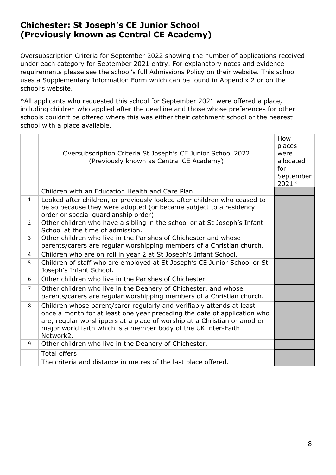#### <span id="page-7-1"></span><span id="page-7-0"></span>**Chichester: St Joseph's CE Junior School (Previously known as Central CE Academy)**

Oversubscription Criteria for September 2022 showing the number of applications received under each category for September 2021 entry. For explanatory notes and evidence requirements please see the school's full Admissions Policy on their website. This school uses a Supplementary Information Form which can be found in Appendix 2 or on the school's website.

<span id="page-7-2"></span>

|                | Oversubscription Criteria St Joseph's CE Junior School 2022<br>(Previously known as Central CE Academy)                                                                                                                                                                                                      | How<br>places<br>were<br>allocated<br>for<br>September<br>2021* |
|----------------|--------------------------------------------------------------------------------------------------------------------------------------------------------------------------------------------------------------------------------------------------------------------------------------------------------------|-----------------------------------------------------------------|
|                | Children with an Education Health and Care Plan                                                                                                                                                                                                                                                              |                                                                 |
| $\mathbf{1}$   | Looked after children, or previously looked after children who ceased to<br>be so because they were adopted (or became subject to a residency<br>order or special guardianship order).                                                                                                                       |                                                                 |
| $\overline{2}$ | Other children who have a sibling in the school or at St Joseph's Infant<br>School at the time of admission.                                                                                                                                                                                                 |                                                                 |
| $\overline{3}$ | Other children who live in the Parishes of Chichester and whose<br>parents/carers are regular worshipping members of a Christian church.                                                                                                                                                                     |                                                                 |
| 4              | Children who are on roll in year 2 at St Joseph's Infant School.                                                                                                                                                                                                                                             |                                                                 |
| 5              | Children of staff who are employed at St Joseph's CE Junior School or St<br>Joseph's Infant School.                                                                                                                                                                                                          |                                                                 |
| 6              | Other children who live in the Parishes of Chichester.                                                                                                                                                                                                                                                       |                                                                 |
| $\overline{7}$ | Other children who live in the Deanery of Chichester, and whose<br>parents/carers are regular worshipping members of a Christian church.                                                                                                                                                                     |                                                                 |
| 8              | Children whose parent/carer regularly and verifiably attends at least<br>once a month for at least one year preceding the date of application who<br>are, regular worshippers at a place of worship at a Christian or another<br>major world faith which is a member body of the UK inter-Faith<br>Network2. |                                                                 |
| 9              | Other children who live in the Deanery of Chichester.                                                                                                                                                                                                                                                        |                                                                 |
|                | <b>Total offers</b>                                                                                                                                                                                                                                                                                          |                                                                 |
|                | The criteria and distance in metres of the last place offered.                                                                                                                                                                                                                                               |                                                                 |
|                |                                                                                                                                                                                                                                                                                                              |                                                                 |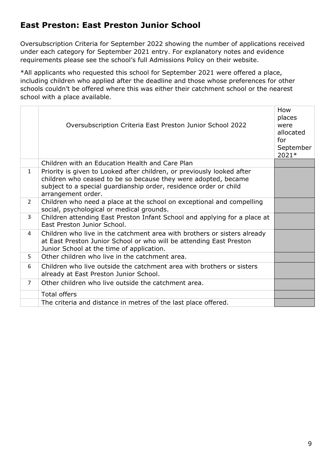### **East Preston: East Preston Junior School**

Oversubscription Criteria for September 2022 showing the number of applications received under each category for September 2021 entry. For explanatory notes and evidence requirements please see the school's full Admissions Policy on their website.

|                | Oversubscription Criteria East Preston Junior School 2022                                                                                                                                                                           | How<br>places<br>were<br>allocated<br>for<br>September<br>2021* |
|----------------|-------------------------------------------------------------------------------------------------------------------------------------------------------------------------------------------------------------------------------------|-----------------------------------------------------------------|
|                | Children with an Education Health and Care Plan                                                                                                                                                                                     |                                                                 |
| $\mathbf{1}$   | Priority is given to Looked after children, or previously looked after<br>children who ceased to be so because they were adopted, became<br>subject to a special guardianship order, residence order or child<br>arrangement order. |                                                                 |
| $\overline{2}$ | Children who need a place at the school on exceptional and compelling<br>social, psychological or medical grounds.                                                                                                                  |                                                                 |
| $\mathbf{3}$   | Children attending East Preston Infant School and applying for a place at<br>East Preston Junior School.                                                                                                                            |                                                                 |
| 4              | Children who live in the catchment area with brothers or sisters already<br>at East Preston Junior School or who will be attending East Preston<br>Junior School at the time of application.                                        |                                                                 |
| 5              | Other children who live in the catchment area.                                                                                                                                                                                      |                                                                 |
| 6              | Children who live outside the catchment area with brothers or sisters<br>already at East Preston Junior School.                                                                                                                     |                                                                 |
| $\overline{7}$ | Other children who live outside the catchment area.                                                                                                                                                                                 |                                                                 |
|                | <b>Total offers</b>                                                                                                                                                                                                                 |                                                                 |
|                | The criteria and distance in metres of the last place offered.                                                                                                                                                                      |                                                                 |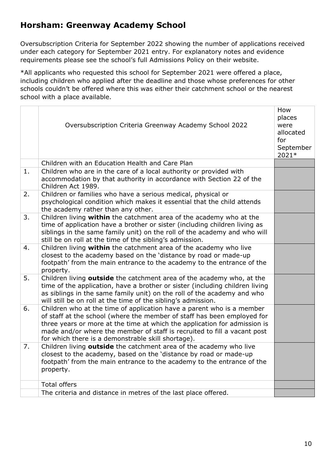### <span id="page-9-0"></span>**Horsham: Greenway Academy School**

Oversubscription Criteria for September 2022 showing the number of applications received under each category for September 2021 entry. For explanatory notes and evidence requirements please see the school's full Admissions Policy on their website.

|    | Oversubscription Criteria Greenway Academy School 2022                                                                                                                                                                                                                                                                                                          | How<br>places<br>were<br>allocated<br>for<br>September<br>2021* |
|----|-----------------------------------------------------------------------------------------------------------------------------------------------------------------------------------------------------------------------------------------------------------------------------------------------------------------------------------------------------------------|-----------------------------------------------------------------|
|    | Children with an Education Health and Care Plan                                                                                                                                                                                                                                                                                                                 |                                                                 |
| 1. | Children who are in the care of a local authority or provided with<br>accommodation by that authority in accordance with Section 22 of the<br>Children Act 1989.                                                                                                                                                                                                |                                                                 |
| 2. | Children or families who have a serious medical, physical or<br>psychological condition which makes it essential that the child attends<br>the academy rather than any other.                                                                                                                                                                                   |                                                                 |
| 3. | Children living within the catchment area of the academy who at the<br>time of application have a brother or sister (including children living as<br>siblings in the same family unit) on the roll of the academy and who will<br>still be on roll at the time of the sibling's admission.                                                                      |                                                                 |
| 4. | Children living within the catchment area of the academy who live<br>closest to the academy based on the 'distance by road or made-up<br>footpath' from the main entrance to the academy to the entrance of the<br>property.                                                                                                                                    |                                                                 |
| 5. | Children living outside the catchment area of the academy who, at the<br>time of the application, have a brother or sister (including children living<br>as siblings in the same family unit) on the roll of the academy and who<br>will still be on roll at the time of the sibling's admission.                                                               |                                                                 |
| 6. | Children who at the time of application have a parent who is a member<br>of staff at the school (where the member of staff has been employed for<br>three years or more at the time at which the application for admission is<br>made and/or where the member of staff is recruited to fill a vacant post<br>for which there is a demonstrable skill shortage). |                                                                 |
| 7. | Children living outside the catchment area of the academy who live<br>closest to the academy, based on the 'distance by road or made-up<br>footpath' from the main entrance to the academy to the entrance of the<br>property.                                                                                                                                  |                                                                 |
|    | <b>Total offers</b>                                                                                                                                                                                                                                                                                                                                             |                                                                 |
|    | The criteria and distance in metres of the last place offered.                                                                                                                                                                                                                                                                                                  |                                                                 |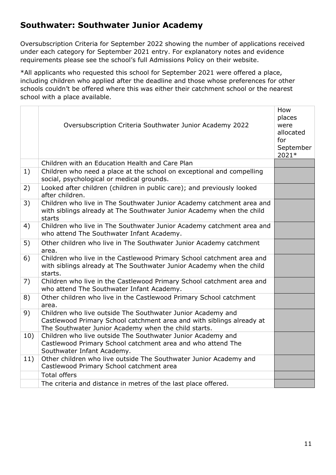#### <span id="page-10-0"></span>**Southwater: Southwater Junior Academy**

Oversubscription Criteria for September 2022 showing the number of applications received under each category for September 2021 entry. For explanatory notes and evidence requirements please see the school's full Admissions Policy on their website.

|     | Oversubscription Criteria Southwater Junior Academy 2022                                                                                                                                     | How<br>places<br>were<br>allocated<br>for<br>September<br>2021* |
|-----|----------------------------------------------------------------------------------------------------------------------------------------------------------------------------------------------|-----------------------------------------------------------------|
|     | Children with an Education Health and Care Plan                                                                                                                                              |                                                                 |
| 1)  | Children who need a place at the school on exceptional and compelling<br>social, psychological or medical grounds.                                                                           |                                                                 |
| 2)  | Looked after children (children in public care); and previously looked<br>after children.                                                                                                    |                                                                 |
| 3)  | Children who live in The Southwater Junior Academy catchment area and<br>with siblings already at The Southwater Junior Academy when the child<br>starts                                     |                                                                 |
| 4)  | Children who live in The Southwater Junior Academy catchment area and<br>who attend The Southwater Infant Academy.                                                                           |                                                                 |
| 5)  | Other children who live in The Southwater Junior Academy catchment<br>area.                                                                                                                  |                                                                 |
| 6)  | Children who live in the Castlewood Primary School catchment area and<br>with siblings already at The Southwater Junior Academy when the child<br>starts.                                    |                                                                 |
| 7)  | Children who live in the Castlewood Primary School catchment area and<br>who attend The Southwater Infant Academy.                                                                           |                                                                 |
| 8)  | Other children who live in the Castlewood Primary School catchment<br>area.                                                                                                                  |                                                                 |
| 9)  | Children who live outside The Southwater Junior Academy and<br>Castlewood Primary School catchment area and with siblings already at<br>The Southwater Junior Academy when the child starts. |                                                                 |
| 10) | Children who live outside The Southwater Junior Academy and<br>Castlewood Primary School catchment area and who attend The<br>Southwater Infant Academy.                                     |                                                                 |
| 11) | Other children who live outside The Southwater Junior Academy and<br>Castlewood Primary School catchment area                                                                                |                                                                 |
|     | <b>Total offers</b>                                                                                                                                                                          |                                                                 |
|     | The criteria and distance in metres of the last place offered.                                                                                                                               |                                                                 |